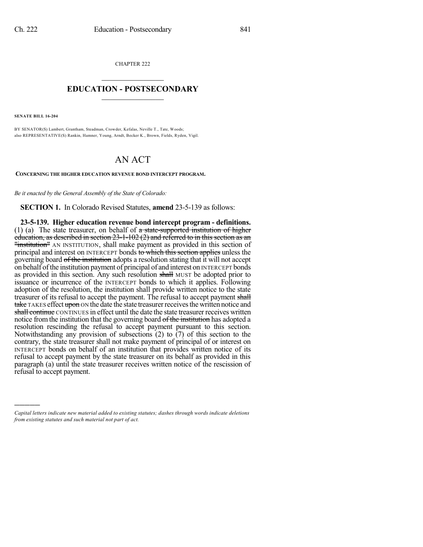CHAPTER 222  $\mathcal{L}_\text{max}$  . The set of the set of the set of the set of the set of the set of the set of the set of the set of the set of the set of the set of the set of the set of the set of the set of the set of the set of the set

## **EDUCATION - POSTSECONDARY**  $\_$   $\_$   $\_$   $\_$   $\_$   $\_$   $\_$   $\_$   $\_$

**SENATE BILL 16-204**

)))))

BY SENATOR(S) Lambert, Grantham, Steadman, Crowder, Kefalas, Neville T., Tate, Woods; also REPRESENTATIVE(S) Rankin, Hamner, Young, Arndt, Becker K., Brown, Fields, Ryden, Vigil.

## AN ACT

**CONCERNING THE HIGHER EDUCATION REVENUE BOND INTERCEPT PROGRAM.**

*Be it enacted by the General Assembly of the State of Colorado:*

**SECTION 1.** In Colorado Revised Statutes, **amend** 23-5-139 as follows:

**23-5-139. Higher education revenue bond intercept program - definitions.** (1) (a) The state treasurer, on behalf of  $\alpha$  state-supported institution of higher education, as described in section 23-1-102 (2) and referred to in this section as an "institution" AN INSTITUTION, shall make payment as provided in this section of principal and interest on INTERCEPT bonds to which this section applies unless the governing board of the institution adopts a resolution stating that it will not accept on behalf ofthe institution payment of principal of and interest on INTERCEPT bonds as provided in this section. Any such resolution shall MUST be adopted prior to issuance or incurrence of the INTERCEPT bonds to which it applies. Following adoption of the resolution, the institution shall provide written notice to the state treasurer of its refusal to accept the payment. The refusal to accept payment shall take TAKES effect upon ON the date the state treasurer receives the written notice and shall continue CONTINUES in effect until the date the state treasurer receives written notice from the institution that the governing board of the institution has adopted a resolution rescinding the refusal to accept payment pursuant to this section. Notwithstanding any provision of subsections  $(2)$  to  $(7)$  of this section to the contrary, the state treasurer shall not make payment of principal of or interest on INTERCEPT bonds on behalf of an institution that provides written notice of its refusal to accept payment by the state treasurer on its behalf as provided in this paragraph (a) until the state treasurer receives written notice of the rescission of refusal to accept payment.

*Capital letters indicate new material added to existing statutes; dashes through words indicate deletions from existing statutes and such material not part of act.*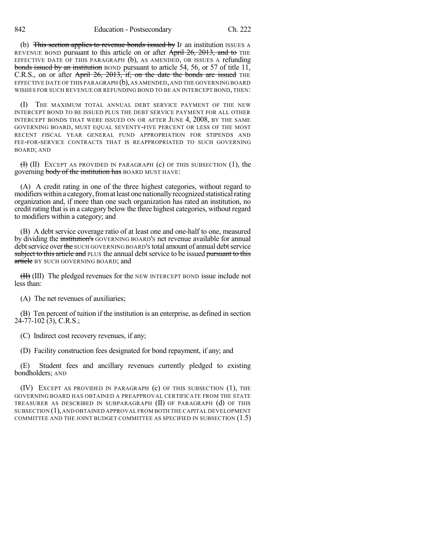842 Education - Postsecondary Ch. 222

(b) This section applies to revenue bonds issued by IF an institution ISSUES A REVENUE BOND pursuant to this article on or after  $\overrightarrow{April}$   $26$ ,  $2013$ , and to THE EFFECTIVE DATE OF THIS PARAGRAPH (b), AS AMENDED, OR ISSUES A refunding bonds issued by an institution BOND pursuant to article 54, 56, or 57 of title 11, C.R.S., on or after April 26, 2013, if, on the date the bonds are issued THE EFFECTIVE DATE OF THIS PARAGRAPH (b), AS AMENDED, AND THE GOVERNING BOARD WISHES FOR SUCH REVENUE OR REFUNDING BOND TO BE AN INTERCEPT BOND, THEN:

(I) THE MAXIMUM TOTAL ANNUAL DEBT SERVICE PAYMENT OF THE NEW INTERCEPT BOND TO BE ISSUED PLUS THE DEBT SERVICE PAYMENT FOR ALL OTHER INTERCEPT BONDS THAT WERE ISSUED ON OR AFTER JUNE 4, 2008, BY THE SAME GOVERNING BOARD, MUST EQUAL SEVENTY-FIVE PERCENT OR LESS OF THE MOST RECENT FISCAL YEAR GENERAL FUND APPROPRIATION FOR STIPENDS AND FEE-FOR-SERVICE CONTRACTS THAT IS REAPPROPRIATED TO SUCH GOVERNING BOARD; AND

 $(H)$  (II) EXCEPT AS PROVIDED IN PARAGRAPH (c) OF THIS SUBSECTION (1), the governing body of the institution has BOARD MUST HAVE:

(A) A credit rating in one of the three highest categories, without regard to modifiers within a category, from at least one nationally recognized statistical rating organization and, if more than one such organization has rated an institution, no credit rating that is in a category below the three highest categories, without regard to modifiers within a category; and

(B) A debt service coverage ratio of at least one and one-half to one, measured by dividing the institution's GOVERNING BOARD'S net revenue available for annual debt service over the SUCH GOVERNING BOARD's total amount of annual debt service subject to this article and PLUS the annual debt service to be issued pursuant to this article BY SUCH GOVERNING BOARD; and

(II) (III) The pledged revenues for the NEW INTERCEPT BOND issue include not less than:

(A) The net revenues of auxiliaries;

(B) Ten percent of tuition if the institution is an enterprise, as defined in section 24-77-102 (3), C.R.S.;

(C) Indirect cost recovery revenues, if any;

(D) Facility construction fees designated for bond repayment, if any; and

(E) Student fees and ancillary revenues currently pledged to existing bondholders; AND

(IV) EXCEPT AS PROVIDED IN PARAGRAPH (c) OF THIS SUBSECTION (1), THE GOVERNING BOARD HAS OBTAINED A PREAPPROVAL CERTIFICATE FROM THE STATE TREASURER AS DESCRIBED IN SUBPARAGRAPH (II) OF PARAGRAPH (d) OF THIS SUBSECTION (1),AND OBTAINED APPROVAL FROM BOTH THE CAPITAL DEVELOPMENT COMMITTEE AND THE JOINT BUDGET COMMITTEE AS SPECIFIED IN SUBSECTION (1.5)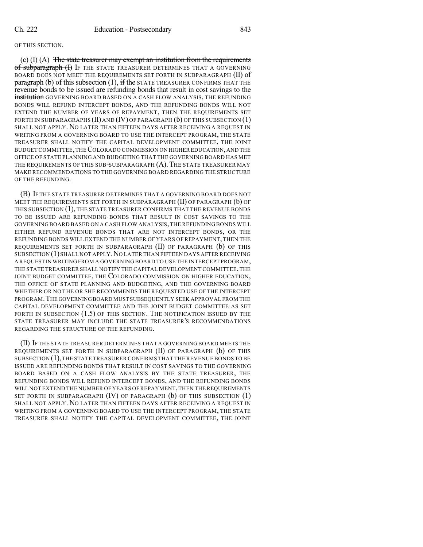## OF THIS SECTION.

(c)  $(I)$  (A) The state treasurer may exempt an institution from the requirements of subparagraph (I) IF THE STATE TREASURER DETERMINES THAT A GOVERNING BOARD DOES NOT MEET THE REQUIREMENTS SET FORTH IN SUBPARAGRAPH (II) of paragraph (b) of this subsection (1), if the STATE TREASURER CONFIRMS THAT THE revenue bonds to be issued are refunding bonds that result in cost savings to the institution GOVERNING BOARD BASED ON A CASH FLOW ANALYSIS, THE REFUNDING BONDS WILL REFUND INTERCEPT BONDS, AND THE REFUNDING BONDS WILL NOT EXTEND THE NUMBER OF YEARS OF REPAYMENT, THEN THE REQUIREMENTS SET FORTH IN SUBPARAGRAPHS  $(II)$  AND  $(IV)$  OF PARAGRAPH  $(b)$  OF THIS SUBSECTION  $(1)$ SHALL NOT APPLY. NO LATER THAN FIFTEEN DAYS AFTER RECEIVING A REQUEST IN WRITING FROM A GOVERNING BOARD TO USE THE INTERCEPT PROGRAM, THE STATE TREASURER SHALL NOTIFY THE CAPITAL DEVELOPMENT COMMITTEE, THE JOINT BUDGET COMMITTEE,THECOLORADO COMMISSION ON HIGHER EDUCATION,AND THE OFFICE OF STATE PLANNING AND BUDGETING THAT THE GOVERNING BOARD HAS MET THE REQUIREMENTS OF THIS SUB-SUBPARAGRAPH (A). THE STATE TREASURER MAY MAKE RECOMMENDATIONS TO THE GOVERNING BOARD REGARDING THE STRUCTURE OF THE REFUNDING.

(B) IF THE STATE TREASURER DETERMINES THAT A GOVERNING BOARD DOES NOT MEET THE REQUIREMENTS SET FORTH IN SUBPARAGRAPH  $(II)$  OF PARAGRAPH  $(b)$  OF THIS SUBSECTION (1), THE STATE TREASURER CONFIRMS THAT THE REVENUE BONDS TO BE ISSUED ARE REFUNDING BONDS THAT RESULT IN COST SAVINGS TO THE GOVERNING BOARD BASED ON A CASH FLOW ANALYSIS,THE REFUNDING BONDS WILL EITHER REFUND REVENUE BONDS THAT ARE NOT INTERCEPT BONDS, OR THE REFUNDING BONDS WILL EXTEND THE NUMBER OF YEARS OF REPAYMENT, THEN THE REQUIREMENTS SET FORTH IN SUBPARAGRAPH (II) OF PARAGRAPH (b) OF THIS SUBSECTION (1) SHALL NOT APPLY. NO LATER THAN FIFTEEN DAYS AFTER RECEIVING A REQUEST IN WRITING FROM A GOVERNING BOARD TO USE THE INTERCEPT PROGRAM, THE STATE TREASURER SHALL NOTIFY THE CAPITAL DEVELOPMENT COMMITTEE,THE JOINT BUDGET COMMITTEE, THE COLORADO COMMISSION ON HIGHER EDUCATION, THE OFFICE OF STATE PLANNING AND BUDGETING, AND THE GOVERNING BOARD WHETHER OR NOT HE OR SHE RECOMMENDS THE REQUESTED USE OF THE INTERCEPT PROGRAM.THE GOVERNINGBOARD MUST SUBSEQUENTLY SEEK APPROVAL FROM THE CAPITAL DEVELOPMENT COMMITTEE AND THE JOINT BUDGET COMMITTEE AS SET FORTH IN SUBSECTION  $(1.5)$  of this section. The notification issued by the STATE TREASURER MAY INCLUDE THE STATE TREASURER'S RECOMMENDATIONS REGARDING THE STRUCTURE OF THE REFUNDING.

(II) IF THE STATE TREASURER DETERMINES THAT A GOVERNING BOARD MEETS THE REQUIREMENTS SET FORTH IN SUBPARAGRAPH (II) OF PARAGRAPH (b) OF THIS SUBSECTION (1),THE STATE TREASURER CONFIRMS THAT THE REVENUE BONDS TO BE ISSUED ARE REFUNDING BONDS THAT RESULT IN COST SAVINGS TO THE GOVERNING BOARD BASED ON A CASH FLOW ANALYSIS BY THE STATE TREASURER, THE REFUNDING BONDS WILL REFUND INTERCEPT BONDS, AND THE REFUNDING BONDS WILL NOT EXTEND THE NUMBER OF YEARS OF REPAYMENT, THEN THE REQUIREMENTS SET FORTH IN SUBPARAGRAPH (IV) OF PARAGRAPH (b) OF THIS SUBSECTION (1) SHALL NOT APPLY. NO LATER THAN FIFTEEN DAYS AFTER RECEIVING A REQUEST IN WRITING FROM A GOVERNING BOARD TO USE THE INTERCEPT PROGRAM, THE STATE TREASURER SHALL NOTIFY THE CAPITAL DEVELOPMENT COMMITTEE, THE JOINT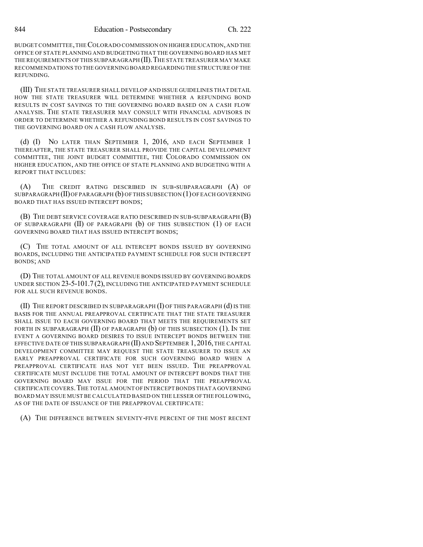BUDGET COMMITTEE,THECOLORADO COMMISSION ON HIGHER EDUCATION,AND THE OFFICE OF STATE PLANNING AND BUDGETING THAT THE GOVERNING BOARD HAS MET THE REQUIREMENTS OF THIS SUBPARAGRAPH (II). THE STATE TREASURER MAY MAKE RECOMMENDATIONS TO THE GOVERNING BOARD REGARDING THE STRUCTURE OF THE REFUNDING.

(III) THE STATE TREASURER SHALL DEVELOP AND ISSUE GUIDELINES THAT DETAIL HOW THE STATE TREASURER WILL DETERMINE WHETHER A REFUNDING BOND RESULTS IN COST SAVINGS TO THE GOVERNING BOARD BASED ON A CASH FLOW ANALYSIS. THE STATE TREASURER MAY CONSULT WITH FINANCIAL ADVISORS IN ORDER TO DETERMINE WHETHER A REFUNDING BOND RESULTS IN COST SAVINGS TO THE GOVERNING BOARD ON A CASH FLOW ANALYSIS.

(d) (I) NO LATER THAN SEPTEMBER 1, 2016, AND EACH SEPTEMBER 1 THEREAFTER, THE STATE TREASURER SHALL PROVIDE THE CAPITAL DEVELOPMENT COMMITTEE, THE JOINT BUDGET COMMITTEE, THE COLORADO COMMISSION ON HIGHER EDUCATION, AND THE OFFICE OF STATE PLANNING AND BUDGETING WITH A REPORT THAT INCLUDES:

(A) THE CREDIT RATING DESCRIBED IN SUB-SUBPARAGRAPH (A) OF SUBPARAGRAPH (II)OF PARAGRAPH (b) OF THIS SUBSECTION (1)OF EACH GOVERNING BOARD THAT HAS ISSUED INTERCEPT BONDS;

(B) THE DEBT SERVICE COVERAGE RATIO DESCRIBED IN SUB-SUBPARAGRAPH (B) OF SUBPARAGRAPH  $(II)$  OF PARAGRAPH  $(b)$  OF THIS SUBSECTION  $(1)$  OF EACH GOVERNING BOARD THAT HAS ISSUED INTERCEPT BONDS;

(C) THE TOTAL AMOUNT OF ALL INTERCEPT BONDS ISSUED BY GOVERNING BOARDS, INCLUDING THE ANTICIPATED PAYMENT SCHEDULE FOR SUCH INTERCEPT BONDS; AND

(D) THE TOTAL AMOUNT OF ALL REVENUE BONDS ISSUED BY GOVERNING BOARDS UNDER SECTION 23-5-101.7 (2), INCLUDING THE ANTICIPATED PAYMENT SCHEDULE FOR ALL SUCH REVENUE BONDS.

 $(II)$  The report described in subparagraph  $(I)$  of this paragraph  $(d)$  is the BASIS FOR THE ANNUAL PREAPPROVAL CERTIFICATE THAT THE STATE TREASURER SHALL ISSUE TO EACH GOVERNING BOARD THAT MEETS THE REQUIREMENTS SET FORTH IN SUBPARAGRAPH  $(II)$  OF PARAGRAPH  $(b)$  OF THIS SUBSECTION  $(1)$ . In the EVENT A GOVERNING BOARD DESIRES TO ISSUE INTERCEPT BONDS BETWEEN THE EFFECTIVE DATE OF THIS SUBPARAGRAPH (II) AND SEPTEMBER 1,2016, THE CAPITAL DEVELOPMENT COMMITTEE MAY REQUEST THE STATE TREASURER TO ISSUE AN EARLY PREAPPROVAL CERTIFICATE FOR SUCH GOVERNING BOARD WHEN A PREAPPROVAL CERTIFICATE HAS NOT YET BEEN ISSUED. THE PREAPPROVAL CERTIFICATE MUST INCLUDE THE TOTAL AMOUNT OF INTERCEPT BONDS THAT THE GOVERNING BOARD MAY ISSUE FOR THE PERIOD THAT THE PREAPPROVAL CERTIFICATE COVERS.THE TOTAL AMOUNT OF INTERCEPT BONDS THAT A GOVERNING BOARD MAY ISSUE MUST BE CALCULATED BASED ON THE LESSER OFTHE FOLLOWING, AS OF THE DATE OF ISSUANCE OF THE PREAPPROVAL CERTIFICATE:

(A) THE DIFFERENCE BETWEEN SEVENTY-FIVE PERCENT OF THE MOST RECENT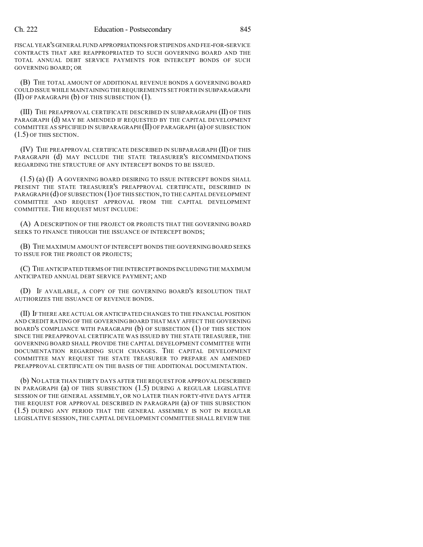FISCAL YEAR'S GENERAL FUND APPROPRIATIONS FOR STIPENDS AND FEE-FOR-SERVICE CONTRACTS THAT ARE REAPPROPRIATED TO SUCH GOVERNING BOARD AND THE TOTAL ANNUAL DEBT SERVICE PAYMENTS FOR INTERCEPT BONDS OF SUCH GOVERNING BOARD; OR

(B) THE TOTAL AMOUNT OF ADDITIONAL REVENUE BONDS A GOVERNING BOARD COULD ISSUE WHILE MAINTAINING THE REQUIREMENTS SET FORTH IN SUBPARAGRAPH (II) OF PARAGRAPH (b) OF THIS SUBSECTION (1).

(III) THE PREAPPROVAL CERTIFICATE DESCRIBED IN SUBPARAGRAPH (II) OF THIS PARAGRAPH (d) MAY BE AMENDED IF REQUESTED BY THE CAPITAL DEVELOPMENT COMMITTEE AS SPECIFIED IN SUBPARAGRAPH (II) OF PARAGRAPH (a) OF SUBSECTION (1.5) OF THIS SECTION.

(IV) THE PREAPPROVAL CERTIFICATE DESCRIBED IN SUBPARAGRAPH (II) OF THIS PARAGRAPH (d) MAY INCLUDE THE STATE TREASURER'S RECOMMENDATIONS REGARDING THE STRUCTURE OF ANY INTERCEPT BONDS TO BE ISSUED.

(1.5) (a) (I) A GOVERNING BOARD DESIRING TO ISSUE INTERCEPT BONDS SHALL PRESENT THE STATE TREASURER'S PREAPPROVAL CERTIFICATE, DESCRIBED IN PARAGRAPH (d) OF SUBSECTION (1) OF THIS SECTION, TO THE CAPITAL DEVELOPMENT COMMITTEE AND REQUEST APPROVAL FROM THE CAPITAL DEVELOPMENT COMMITTEE. THE REQUEST MUST INCLUDE:

(A) A DESCRIPTION OF THE PROJECT OR PROJECTS THAT THE GOVERNING BOARD SEEKS TO FINANCE THROUGH THE ISSUANCE OF INTERCEPT BONDS;

(B) THE MAXIMUM AMOUNT OF INTERCEPT BONDS THE GOVERNING BOARD SEEKS TO ISSUE FOR THE PROJECT OR PROJECTS;

(C) THE ANTICIPATED TERMS OF THE INTERCEPT BONDS INCLUDING THE MAXIMUM ANTICIPATED ANNUAL DEBT SERVICE PAYMENT; AND

(D) IF AVAILABLE, A COPY OF THE GOVERNING BOARD'S RESOLUTION THAT AUTHORIZES THE ISSUANCE OF REVENUE BONDS.

(II) IF THERE ARE ACTUAL OR ANTICIPATED CHANGES TO THE FINANCIAL POSITION AND CREDIT RATING OF THE GOVERNING BOARD THAT MAY AFFECT THE GOVERNING BOARD'S COMPLIANCE WITH PARAGRAPH (b) OF SUBSECTION (1) OF THIS SECTION SINCE THE PREAPPROVAL CERTIFICATE WAS ISSUED BY THE STATE TREASURER, THE GOVERNING BOARD SHALL PROVIDE THE CAPITAL DEVELOPMENT COMMITTEE WITH DOCUMENTATION REGARDING SUCH CHANGES. THE CAPITAL DEVELOPMENT COMMITTEE MAY REQUEST THE STATE TREASURER TO PREPARE AN AMENDED PREAPPROVAL CERTIFICATE ON THE BASIS OF THE ADDITIONAL DOCUMENTATION.

(b) NO LATER THAN THIRTY DAYS AFTER THE REQUEST FOR APPROVAL DESCRIBED IN PARAGRAPH (a) OF THIS SUBSECTION (1.5) DURING A REGULAR LEGISLATIVE SESSION OF THE GENERAL ASSEMBLY, OR NO LATER THAN FORTY-FIVE DAYS AFTER THE REQUEST FOR APPROVAL DESCRIBED IN PARAGRAPH (a) OF THIS SUBSECTION (1.5) DURING ANY PERIOD THAT THE GENERAL ASSEMBLY IS NOT IN REGULAR LEGISLATIVE SESSION, THE CAPITAL DEVELOPMENT COMMITTEE SHALL REVIEW THE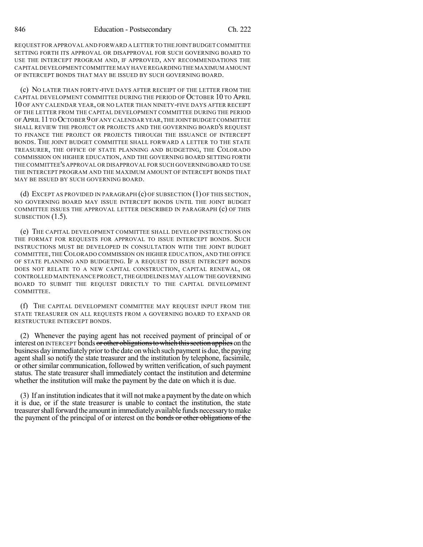REQUEST FOR APPROVAL AND FORWARD A LETTER TO THE JOINT BUDGET COMMITTEE SETTING FORTH ITS APPROVAL OR DISAPPROVAL FOR SUCH GOVERNING BOARD TO USE THE INTERCEPT PROGRAM AND, IF APPROVED, ANY RECOMMENDATIONS THE CAPITAL DEVELOPMENT COMMITTEE MAY HAVE REGARDING THE MAXIMUM AMOUNT OF INTERCEPT BONDS THAT MAY BE ISSUED BY SUCH GOVERNING BOARD.

(c) NO LATER THAN FORTY-FIVE DAYS AFTER RECEIPT OF THE LETTER FROM THE CAPITAL DEVELOPMENT COMMITTEE DURING THE PERIOD OF OCTOBER 10 TO APRIL 10 OF ANY CALENDAR YEAR, OR NO LATER THAN NINETY-FIVE DAYS AFTER RECEIPT OF THE LETTER FROM THE CAPITAL DEVELOPMENT COMMITTEE DURING THE PERIOD OF APRIL 11TO OCTOBER 9OF ANY CALENDAR YEAR,THE JOINT BUDGET COMMITTEE SHALL REVIEW THE PROJECT OR PROJECTS AND THE GOVERNING BOARD'S REQUEST TO FINANCE THE PROJECT OR PROJECTS THROUGH THE ISSUANCE OF INTERCEPT BONDS. THE JOINT BUDGET COMMITTEE SHALL FORWARD A LETTER TO THE STATE TREASURER, THE OFFICE OF STATE PLANNING AND BUDGETING, THE COLORADO COMMISSION ON HIGHER EDUCATION, AND THE GOVERNING BOARD SETTING FORTH THE COMMITTEE'S APPROVAL OR DISAPPROVAL FOR SUCH GOVERNINGBOARD TO USE THE INTERCEPT PROGRAM AND THE MAXIMUM AMOUNT OF INTERCEPT BONDS THAT MAY BE ISSUED BY SUCH GOVERNING BOARD.

(d) EXCEPT AS PROVIDED IN PARAGRAPH (c) OF SUBSECTION (1) OF THIS SECTION, NO GOVERNING BOARD MAY ISSUE INTERCEPT BONDS UNTIL THE JOINT BUDGET COMMITTEE ISSUES THE APPROVAL LETTER DESCRIBED IN PARAGRAPH (c) OF THIS SUBSECTION  $(1.5)$ .

(e) THE CAPITAL DEVELOPMENT COMMITTEE SHALL DEVELOP INSTRUCTIONS ON THE FORMAT FOR REQUESTS FOR APPROVAL TO ISSUE INTERCEPT BONDS. SUCH INSTRUCTIONS MUST BE DEVELOPED IN CONSULTATION WITH THE JOINT BUDGET COMMITTEE, THE COLORADO COMMISSION ON HIGHER EDUCATION, AND THE OFFICE OF STATE PLANNING AND BUDGETING. IF A REQUEST TO ISSUE INTERCEPT BONDS DOES NOT RELATE TO A NEW CAPITAL CONSTRUCTION, CAPITAL RENEWAL, OR CONTROLLED MAINTENANCE PROJECT,THE GUIDELINES MAY ALLOW THE GOVERNING BOARD TO SUBMIT THE REQUEST DIRECTLY TO THE CAPITAL DEVELOPMENT COMMITTEE.

(f) THE CAPITAL DEVELOPMENT COMMITTEE MAY REQUEST INPUT FROM THE STATE TREASURER ON ALL REQUESTS FROM A GOVERNING BOARD TO EXPAND OR RESTRUCTURE INTERCEPT BONDS.

(2) Whenever the paying agent has not received payment of principal of or interest on INTERCEPT bonds or other obligations to which this section applies on the business day immediately prior to the date on which such payment is due, the paying agent shall so notify the state treasurer and the institution by telephone, facsimile, or other similar communication, followed by written verification, of such payment status. The state treasurer shall immediately contact the institution and determine whether the institution will make the payment by the date on which it is due.

(3) If an institution indicates that it will not make a payment by the date on which it is due, or if the state treasurer is unable to contact the institution, the state treasurer shall forward the amount in immediately available funds necessary to make the payment of the principal of or interest on the bonds or other obligations of the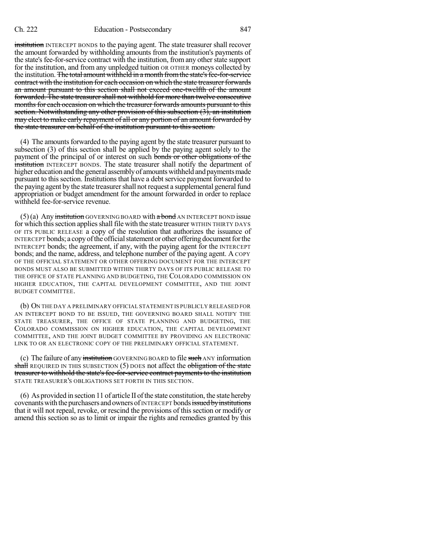institution INTERCEPT BONDS to the paying agent. The state treasurer shall recover the amount forwarded by withholding amounts from the institution's payments of the state's fee-for-service contract with the institution, from any other state support for the institution, and from any unpledged tuition OR OTHER moneys collected by the institution. The total amount withheld in a month from the state's fee-for-service contract with the institution for each occasion on which the state treasurer forwards an amount pursuant to this section shall not exceed one-twelfth of the amount forwarded. The state treasurershall not withhold for more than twelve consecutive months for each occasion on which the treasurer forwards amounts pursuant to this section. Notwithstanding any other provision of this subsection  $(3)$ , an institution may elect to make early repayment of all or any portion of an amount forwarded by the state treasurer on behalf of the institution pursuant to this section.

(4) The amounts forwarded to the paying agent by the state treasurer pursuant to subsection (3) of this section shall be applied by the paying agent solely to the payment of the principal of or interest on such bonds or other obligations of the institution INTERCEPT BONDS. The state treasurer shall notify the department of higher education and the general assembly of amounts withheld and payments made pursuant to this section. Institutions that have a debt service payment forwarded to the paying agent by the state treasurer shall not request a supplemental general fund appropriation or budget amendment for the amount forwarded in order to replace withheld fee-for-service revenue.

 $(5)$ (a) Any institution GOVERNING BOARD with a bond AN INTERCEPT BOND issue for which thissection appliesshall file with the state treasurer WITHIN THIRTY DAYS OF ITS PUBLIC RELEASE a copy of the resolution that authorizes the issuance of INTERCEPT bonds; a copy of the official statement or other offering document for the INTERCEPT bonds; the agreement, if any, with the paying agent for the INTERCEPT bonds; and the name, address, and telephone number of the paying agent. A COPY OF THE OFFICIAL STATEMENT OR OTHER OFFERING DOCUMENT FOR THE INTERCEPT BONDS MUST ALSO BE SUBMITTED WITHIN THIRTY DAYS OF ITS PUBLIC RELEASE TO THE OFFICE OF STATE PLANNING AND BUDGETING, THE COLORADO COMMISSION ON HIGHER EDUCATION, THE CAPITAL DEVELOPMENT COMMITTEE, AND THE JOINT BUDGET COMMITTEE.

(b) ON THE DAY A PRELIMINARY OFFICIAL STATEMENT IS PUBLICLY RELEASED FOR AN INTERCEPT BOND TO BE ISSUED, THE GOVERNING BOARD SHALL NOTIFY THE STATE TREASURER, THE OFFICE OF STATE PLANNING AND BUDGETING, THE COLORADO COMMISSION ON HIGHER EDUCATION, THE CAPITAL DEVELOPMENT COMMITTEE, AND THE JOINT BUDGET COMMITTEE BY PROVIDING AN ELECTRONIC LINK TO OR AN ELECTRONIC COPY OF THE PRELIMINARY OFFICIAL STATEMENT.

(c) The failure of any institution GOVERNING BOARD to file such ANY information shall REQUIRED IN THIS SUBSECTION  $(5)$  DOES not affect the obligation of the state treasurer to withhold the state's fee-for-service contract payments to the institution STATE TREASURER'S OBLIGATIONS SET FORTH IN THIS SECTION.

 $(6)$  As provided in section 11 of article II of the state constitution, the state hereby covenants with the purchasers and owners of INTERCEPT bonds issued by institutions that it will not repeal, revoke, or rescind the provisions of this section or modify or amend this section so as to limit or impair the rights and remedies granted by this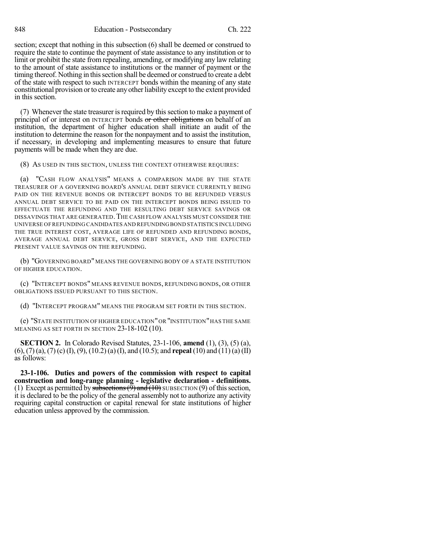848 Education - Postsecondary Ch. 222

section; except that nothing in this subsection (6) shall be deemed or construed to require the state to continue the payment of state assistance to any institution or to limit or prohibit the state from repealing, amending, or modifying any law relating to the amount of state assistance to institutions or the manner of payment or the timing thereof. Nothing in this section shall be deemed or construed to create a debt of the state with respect to such INTERCEPT bonds within the meaning of any state constitutional provision or to create any other liability except to the extent provided in this section.

(7) Whenever the state treasurer is required by this section to make a payment of principal of or interest on INTERCEPT bonds or other obligations on behalf of an institution, the department of higher education shall initiate an audit of the institution to determine the reason for the nonpayment and to assist the institution, if necessary, in developing and implementing measures to ensure that future payments will be made when they are due.

(8) AS USED IN THIS SECTION, UNLESS THE CONTEXT OTHERWISE REQUIRES:

(a) "CASH FLOW ANALYSIS" MEANS A COMPARISON MADE BY THE STATE TREASURER OF A GOVERNING BOARD'S ANNUAL DEBT SERVICE CURRENTLY BEING PAID ON THE REVENUE BONDS OR INTERCEPT BONDS TO BE REFUNDED VERSUS ANNUAL DEBT SERVICE TO BE PAID ON THE INTERCEPT BONDS BEING ISSUED TO EFFECTUATE THE REFUNDING AND THE RESULTING DEBT SERVICE SAVINGS OR DISSAVINGS THAT ARE GENERATED.THE CASH FLOW ANALYSIS MUST CONSIDER THE UNIVERSE OF REFUNDING CANDIDATES AND REFUNDINGBOND STATISTICS INCLUDING THE TRUE INTEREST COST, AVERAGE LIFE OF REFUNDED AND REFUNDING BONDS, AVERAGE ANNUAL DEBT SERVICE, GROSS DEBT SERVICE, AND THE EXPECTED PRESENT VALUE SAVINGS ON THE REFUNDING.

(b) "GOVERNING BOARD" MEANS THE GOVERNING BODY OF A STATE INSTITUTION OF HIGHER EDUCATION.

(c) "INTERCEPT BONDS" MEANS REVENUE BONDS, REFUNDING BONDS, OR OTHER OBLIGATIONS ISSUED PURSUANT TO THIS SECTION.

(d) "INTERCEPT PROGRAM" MEANS THE PROGRAM SET FORTH IN THIS SECTION.

(e) "STATE INSTITUTION OF HIGHER EDUCATION"OR "INSTITUTION"HAS THE SAME MEANING AS SET FORTH IN SECTION 23-18-102 (10).

**SECTION 2.** In Colorado Revised Statutes, 23-1-106, **amend** (1), (3), (5) (a), (6), (7)(a), (7)(c) (I), (9), (10.2) (a) (I), and (10.5); and **repeal** (10) and (11) (a) (II) as follows:

**23-1-106. Duties and powers of the commission with respect to capital construction and long-range planning - legislative declaration - definitions.** (1) Except as permitted by subsections  $(9)$  and  $(10)$  SUBSECTION  $(9)$  of this section, it is declared to be the policy of the general assembly not to authorize any activity requiring capital construction or capital renewal for state institutions of higher education unless approved by the commission.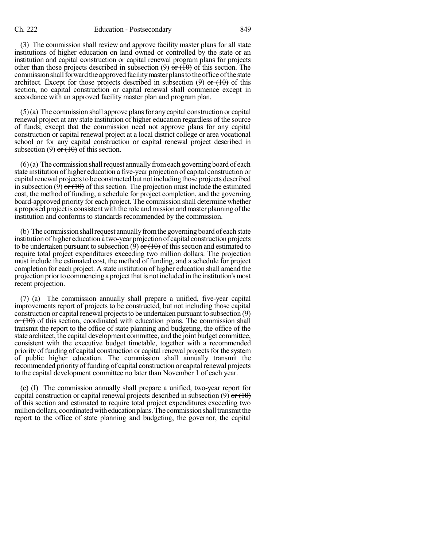(3) The commission shall review and approve facility master plans for all state institutions of higher education on land owned or controlled by the state or an institution and capital construction or capital renewal program plans for projects other than those projects described in subsection (9)  $\sigma$  (10) of this section. The commission shall forward the approved facility master plans to the office of the state architect. Except for those projects described in subsection (9) or  $(10)$  of this section, no capital construction or capital renewal shall commence except in accordance with an approved facility master plan and program plan.

 $(5)(a)$  The commission shall approve plans for any capital construction or capital renewal project at any state institution of higher education regardless of the source of funds; except that the commission need not approve plans for any capital construction or capital renewal project at a local district college or area vocational school or for any capital construction or capital renewal project described in subsection (9) or  $(10)$  of this section.

 $(6)(a)$  The commission shall request annually from each governing board of each state institution of higher education a five-year projection of capital construction or capital renewal projects to be constructed but not including those projects described in subsection (9) or  $(10)$  of this section. The projection must include the estimated cost, the method of funding, a schedule for project completion, and the governing board-approved priority for each project. The commission shall determine whether a proposed project is consistent with the role and mission and master planning of the institution and conforms to standards recommended by the commission.

(b) The commission shallrequest annuallyfromthe governing board of each state institution of higher education a two-year projection of capital construction projects to be undertaken pursuant to subsection  $(9)$  or  $(10)$  of this section and estimated to require total project expenditures exceeding two million dollars. The projection must include the estimated cost, the method of funding, and a schedule for project completion for each project. A state institution of higher education shall amend the projection prior to commencing a project that is not included in the institution's most recent projection.

(7) (a) The commission annually shall prepare a unified, five-year capital improvements report of projects to be constructed, but not including those capital construction or capital renewal projectsto be undertaken pursuant to subsection (9)  $\sigma$  (10) of this section, coordinated with education plans. The commission shall transmit the report to the office of state planning and budgeting, the office of the state architect, the capital development committee, and the joint budget committee, consistent with the executive budget timetable, together with a recommended priority of funding of capital construction or capital renewal projects for the system of public higher education. The commission shall annually transmit the recommended priority of funding of capital construction or capital renewal projects to the capital development committee no later than November 1 of each year.

(c) (I) The commission annually shall prepare a unified, two-year report for capital construction or capital renewal projects described in subsection  $(9)$  or  $(10)$ of this section and estimated to require total project expenditures exceeding two million dollars, coordinated with education plans. The commission shall transmit the report to the office of state planning and budgeting, the governor, the capital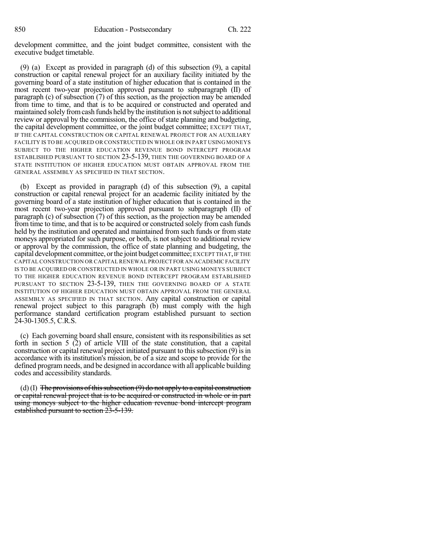development committee, and the joint budget committee, consistent with the executive budget timetable.

(9) (a) Except as provided in paragraph (d) of this subsection (9), a capital construction or capital renewal project for an auxiliary facility initiated by the governing board of a state institution of higher education that is contained in the most recent two-year projection approved pursuant to subparagraph (II) of paragraph (c) of subsection (7) of this section, as the projection may be amended from time to time, and that is to be acquired or constructed and operated and maintained solely fromcash funds held by the institution is notsubject to additional review or approval by the commission, the office of state planning and budgeting, the capital development committee, or the joint budget committee; EXCEPT THAT, IF THE CAPITAL CONSTRUCTION OR CAPITAL RENEWAL PROJECT FOR AN AUXILIARY FACILITY IS TO BE ACQUIRED OR CONSTRUCTED IN WHOLE OR IN PART USING MONEYS SUBJECT TO THE HIGHER EDUCATION REVENUE BOND INTERCEPT PROGRAM ESTABLISHED PURSUANT TO SECTION 23-5-139, THEN THE GOVERNING BOARD OF A STATE INSTITUTION OF HIGHER EDUCATION MUST OBTAIN APPROVAL FROM THE GENERAL ASSEMBLY AS SPECIFIED IN THAT SECTION.

(b) Except as provided in paragraph (d) of this subsection (9), a capital construction or capital renewal project for an academic facility initiated by the governing board of a state institution of higher education that is contained in the most recent two-year projection approved pursuant to subparagraph (II) of paragraph (c) of subsection (7) of this section, as the projection may be amended from time to time, and that is to be acquired or constructed solely from cash funds held by the institution and operated and maintained from such funds or from state moneys appropriated for such purpose, or both, is not subject to additional review or approval by the commission, the office of state planning and budgeting, the capital development committee, or the joint budget committee; EXCEPT THAT, IF THE CAPITAL CONSTRUCTION OR CAPITAL RENEWAL PROJECT FOR AN ACADEMIC FACILITY IS TO BE ACQUIRED OR CONSTRUCTED IN WHOLE OR IN PART USING MONEYS SUBJECT TO THE HIGHER EDUCATION REVENUE BOND INTERCEPT PROGRAM ESTABLISHED PURSUANT TO SECTION 23-5-139, THEN THE GOVERNING BOARD OF A STATE INSTITUTION OF HIGHER EDUCATION MUST OBTAIN APPROVAL FROM THE GENERAL ASSEMBLY AS SPECIFIED IN THAT SECTION. Any capital construction or capital renewal project subject to this paragraph (b) must comply with the high performance standard certification program established pursuant to section 24-30-1305.5, C.R.S.

(c) Each governing board shall ensure, consistent with its responsibilities as set forth in section 5 (2) of article VIII of the state constitution, that a capital construction or capital renewal project initiated pursuant to this subsection  $(9)$  is in accordance with its institution's mission, be of a size and scope to provide for the defined programneeds, and be designed in accordance with all applicable building codes and accessibility standards.

(d)(I) The provisions of this subsection  $(9)$  do not apply to a capital construction or capital renewal project that is to be acquired or constructed in whole or in part using moneys subject to the higher education revenue bond intercept program established pursuant to section 23-5-139.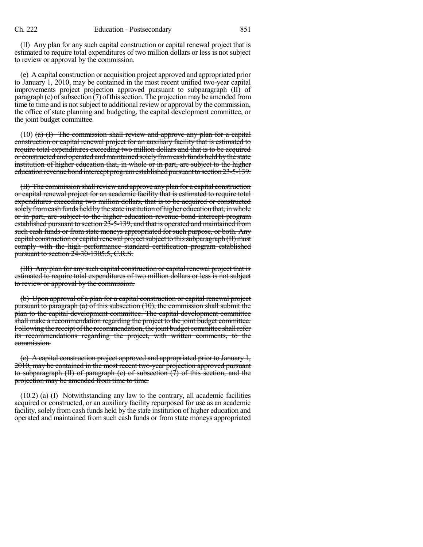(II) Any plan for any such capital construction or capital renewal project that is estimated to require total expenditures of two million dollars or less is not subject to review or approval by the commission.

(e) A capital construction or acquisition project approved and appropriated prior to January 1, 2010, may be contained in the most recent unified two-year capital improvements project projection approved pursuant to subparagraph (II) of paragraph (c) of subsection  $(7)$  of this section. The projection may be amended from time to time and is not subject to additional review or approval by the commission, the office of state planning and budgeting, the capital development committee, or the joint budget committee.

 $(10)$  (a) (I) The commission shall review and approve any plan for a capital construction or capital renewal project for an auxiliary facility that is estimated to require total expenditures exceeding two million dollars and that is to be acquired or constructed and operated and maintained solely from cash funds held by the state institution of higher education that, in whole or in part, are subject to the higher education revenue bond intercept program established pursuant to section 23-5-139.

(II) The commission shall review and approve any plan for a capital construction or capital renewal project for an academic facility that is estimated to require total expenditures exceeding two million dollars, that is to be acquired or constructed solely from cash funds held by the state institution of higher education that, in whole or in part, are subject to the higher education revenue bond intercept program established pursuant to section 23-5-139, and that is operated and maintained from such cash funds or from state moneys appropriated for such purpose, or both. Any capital construction or capital renewal project subject to this subparagraph (II) must comply with the high performance standard certification program established pursuant to section 24-30-1305.5, C.R.S.

(III) Any plan for any such capital construction or capital renewal project that is estimated to require total expenditures of two million dollars or less is not subject to review or approval by the commission.

(b) Upon approval of a plan for a capital construction or capital renewal project pursuant to paragraph (a) of this subsection (10), the commission shall submit the plan to the capital development committee. The capital development committee shall make a recommendation regarding the project to the joint budget committee. Following the receipt of the recommendation, the joint budget committee shall refer its recommendations regarding the project, with written comments, to the commission.

(c) A capital construction project approved and appropriated prior to January 1, 2010, may be contained in the most recent two-year projection approved pursuant to subparagraph (II) of paragraph (c) of subsection (7) of this section, and the projection may be amended from time to time.

(10.2) (a) (I) Notwithstanding any law to the contrary, all academic facilities acquired or constructed, or an auxiliary facility repurposed for use as an academic facility, solely from cash funds held by the state institution of higher education and operated and maintained from such cash funds or from state moneys appropriated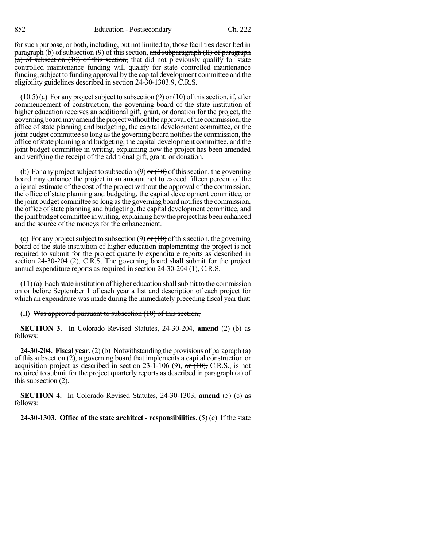for such purpose, or both, including, but not limited to, those facilities described in paragraph  $(\bar{b})$  of subsection  $(9)$  of this section, and subparagraph  $(H)$  of paragraph (a) of subsection (10) of this section, that did not previously qualify for state controlled maintenance funding will qualify for state controlled maintenance funding, subject to funding approval by the capital development committee and the eligibility guidelines described in section 24-30-1303.9, C.R.S.

 $(10.5)$  (a) For any project subject to subsection  $(9)$  or  $(10)$  of this section, if, after commencement of construction, the governing board of the state institution of higher education receives an additional gift, grant, or donation for the project, the governing board may amend the project without the approval of the commission, the office of state planning and budgeting, the capital development committee, or the joint budget committee so long asthe governing board notifiesthe commission, the office ofstate planning and budgeting, the capital development committee, and the joint budget committee in writing, explaining how the project has been amended and verifying the receipt of the additional gift, grant, or donation.

(b) For any project subject to subsection (9) or  $(10)$  of this section, the governing board may enhance the project in an amount not to exceed fifteen percent of the original estimate of the cost of the project without the approval of the commission, the office of state planning and budgeting, the capital development committee, or the joint budget committee so long as the governing board notifies the commission, the office of state planning and budgeting, the capital development committee, and the joint budget committee inwriting, explaininghowtheproject hasbeenenhanced and the source of the moneys for the enhancement.

(c) For any project subject to subsection (9) or  $(10)$  of this section, the governing board of the state institution of higher education implementing the project is not required to submit for the project quarterly expenditure reports as described in section 24-30-204 (2), C.R.S. The governing board shall submit for the project annual expenditure reports as required in section 24-30-204 (1), C.R.S.

 $(11)(a)$  Each state institution of higher education shall submit to the commission on or before September 1 of each year a list and description of each project for which an expenditure was made during the immediately preceding fiscal year that:

(II) Was approved pursuant to subsection (10) of this section;

**SECTION 3.** In Colorado Revised Statutes, 24-30-204, **amend** (2) (b) as follows:

**24-30-204. Fiscal year.** (2) (b) Notwithstanding the provisions of paragraph (a) of this subsection (2), a governing board that implements a capital construction or acquisition project as described in section 23-1-106 (9), or  $(10)$ , C.R.S., is not required to submit for the project quarterly reports as described in paragraph (a) of this subsection (2).

**SECTION 4.** In Colorado Revised Statutes, 24-30-1303, **amend** (5) (c) as follows:

**24-30-1303. Office of the state architect - responsibilities.** (5) (c) If the state